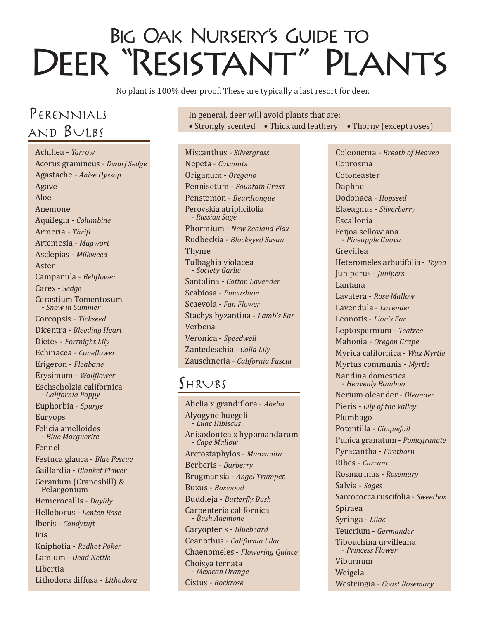# Deer "Resistant" Plants Big Oak Nursery's Guide to

No plant is 100% deer proof. These are typically a last resort for deer.

## PERENNIAIS  $AND$   $BVI$  $BQ$

Achillea - *Yarrow* Acorus gramineus - *Dwarf Sedge* Agastache - *Anise Hyssop* Agave Aloe Anemone Aquilegia - *Columbine* Armeria - *Thrift* Artemesia - *Mugwort* Asclepias - *Milkweed* Aster Campanula - *Bellflower* Carex - *Sedge* Cerastium Tomentosum - *Snow in Summer* Coreopsis - *Tickseed* Dicentra - *Bleeding Heart* Dietes - *Fortnight Lily* Echinacea - *Coneflower* Erigeron - *Fleabane* Erysimum - *Wallflower* Eschscholzia californica - *California Poppy* Euphorbia - *Spurge* Euryops Felicia amelloides - *Blue Marguerite* Fennel Festuca glauca - *Blue Fescue* Gaillardia - *Blanket Flower*  Geranium (Cranesbill) & Pelargonium Hemerocallis - *Daylily* Helleborus - *Lenten Rose* Iberis - *Candytuft* Iris Kniphofia - *Redhot Poker* Lamium - *Dead Nettle* Libertia Lithodora diffusa - *Lithodora*

In general, deer will avoid plants that are: • Strongly scented • Thick and leathery • Thorny (except roses)

Miscanthus - *Silvergrass* Nepeta - *Catmints* Origanum - *Oregano* Pennisetum - *Fountain Grass* Penstemon - *Beardtongue* Perovskia atriplicifolia - *Russian Sage* Phormium - *New Zealand Flax* Rudbeckia - *Blackeyed Susan* Thyme Tulbaghia violacea - *Society Garlic* Santolina - *Cotton Lavender* Scabiosa - *Pincushion* Scaevola - *Fan Flower* Stachys byzantina - *Lamb's Ear* Verbena Veronica - *Speedwell* Zantedeschia - *Calla Lily* Zauschneria - *California Fuscia*

#### $SHRVBS$

Abelia x grandiflora - *Abelia* Alyogyne huegelii - *Lilac Hibiscus*  Anisodontea x hypomandarum - *Cape Mallow* Arctostaphylos - *Manzanita* Berberis - *Barberry* Brugmansia - *Angel Trumpet* Buxus - *Boxwood* Buddleja - *Butterfly Bush* Carpenteria californica - *Bush Anemone* Caryopteris - *Bluebeard* Ceanothus - *California Lilac* Chaenomeles - *Flowering Quince* Choisya ternata - *Mexican Orange* Cistus - *Rockrose*

Coleonema - *Breath of Heaven* Coprosma Cotoneaster Daphne Dodonaea - *Hopseed* Elaeagnus - *Silverberry* Escallonia Feijoa sellowiana - *Pineapple Guava* Grevillea Heteromeles arbutifolia - *Toyon* Juniperus - *Junipers* Lantana Lavatera - *Rose Mallow* Lavendula - *Lavender* Leonotis - *Lion's Ear* Leptospermum - *Teatree* Mahonia - *Oregon Grape* Myrica californica - *Wax Myrtle* Myrtus communis - *Myrtle* Nandina domestica - *Heavenly Bamboo* Nerium oleander - *Oleander* Pieris - *Lily of the Valley* Plumbago Potentilla - *Cinquefoil* Punica granatum - *Pomegranate* Pyracantha - *Firethorn* Ribes - *Currant* Rosmarinus - *Rosemary* Salvia - *Sages* Sarcococca ruscifolia - *Sweetbox* Spiraea Syringa - *Lilac* Teucrium - *Germander* Tibouchina urvilleana - *Princess Flower* Viburnum Weigela Westringia - *Coast Rosemary*